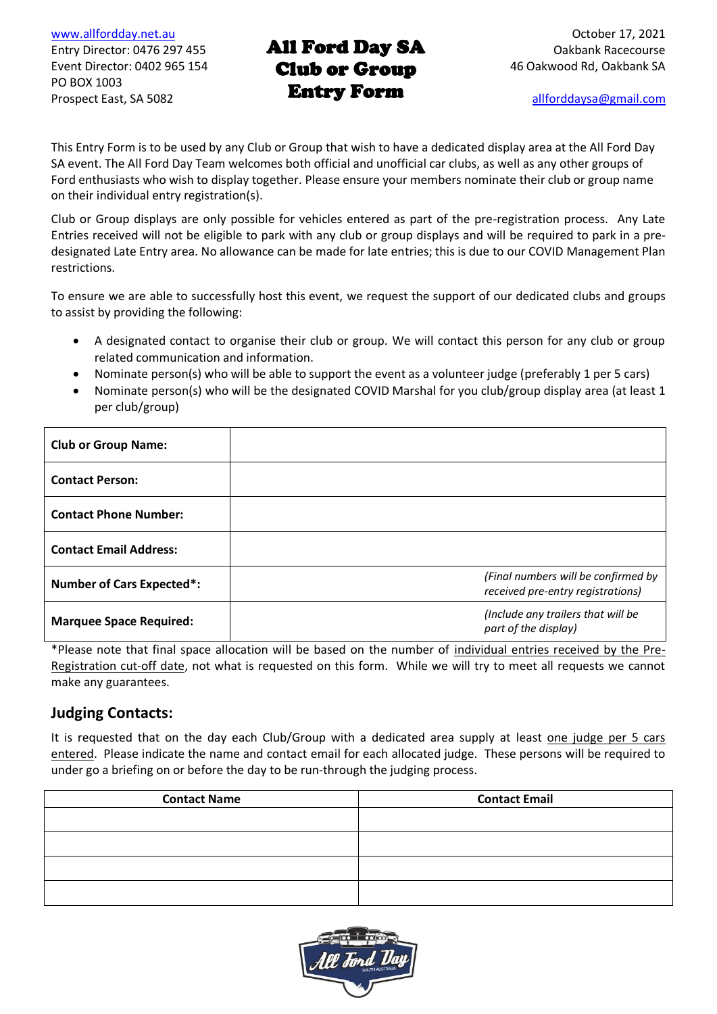[www.allfordday.net.au](http://www.allfordday.net.au/) October 17, 2021 PO BOX 1003 Prospect East, SA 5082 **EXILLETT FOR THE EXAMPLE A**llforddaysa@gmail.com

### Entry Director: 0476 297 455 **AII FOTG DAY SA** Cakbank Racecourse Event Director: 0402 965 154 **Club or Group** 46 Oakwood Rd, Oakbank SA All Ford Day SA Entry Form

This Entry Form is to be used by any Club or Group that wish to have a dedicated display area at the All Ford Day SA event. The All Ford Day Team welcomes both official and unofficial car clubs, as well as any other groups of Ford enthusiasts who wish to display together. Please ensure your members nominate their club or group name on their individual entry registration(s).

Club or Group displays are only possible for vehicles entered as part of the pre-registration process. Any Late Entries received will not be eligible to park with any club or group displays and will be required to park in a predesignated Late Entry area. No allowance can be made for late entries; this is due to our COVID Management Plan restrictions.

To ensure we are able to successfully host this event, we request the support of our dedicated clubs and groups to assist by providing the following:

- A designated contact to organise their club or group. We will contact this person for any club or group related communication and information.
- Nominate person(s) who will be able to support the event as a volunteer judge (preferably 1 per 5 cars)
- Nominate person(s) who will be the designated COVID Marshal for you club/group display area (at least 1 per club/group)

| <b>Club or Group Name:</b>       |                                                                          |
|----------------------------------|--------------------------------------------------------------------------|
| <b>Contact Person:</b>           |                                                                          |
| <b>Contact Phone Number:</b>     |                                                                          |
| <b>Contact Email Address:</b>    |                                                                          |
| <b>Number of Cars Expected*:</b> | (Final numbers will be confirmed by<br>received pre-entry registrations) |
| <b>Marquee Space Required:</b>   | (Include any trailers that will be<br>part of the display)               |

\*Please note that final space allocation will be based on the number of individual entries received by the Pre-Registration cut-off date, not what is requested on this form. While we will try to meet all requests we cannot make any guarantees.

## **Judging Contacts:**

It is requested that on the day each Club/Group with a dedicated area supply at least one judge per 5 cars entered. Please indicate the name and contact email for each allocated judge. These persons will be required to under go a briefing on or before the day to be run-through the judging process.

| <b>Contact Name</b> | <b>Contact Email</b> |
|---------------------|----------------------|
|                     |                      |
|                     |                      |
|                     |                      |
|                     |                      |